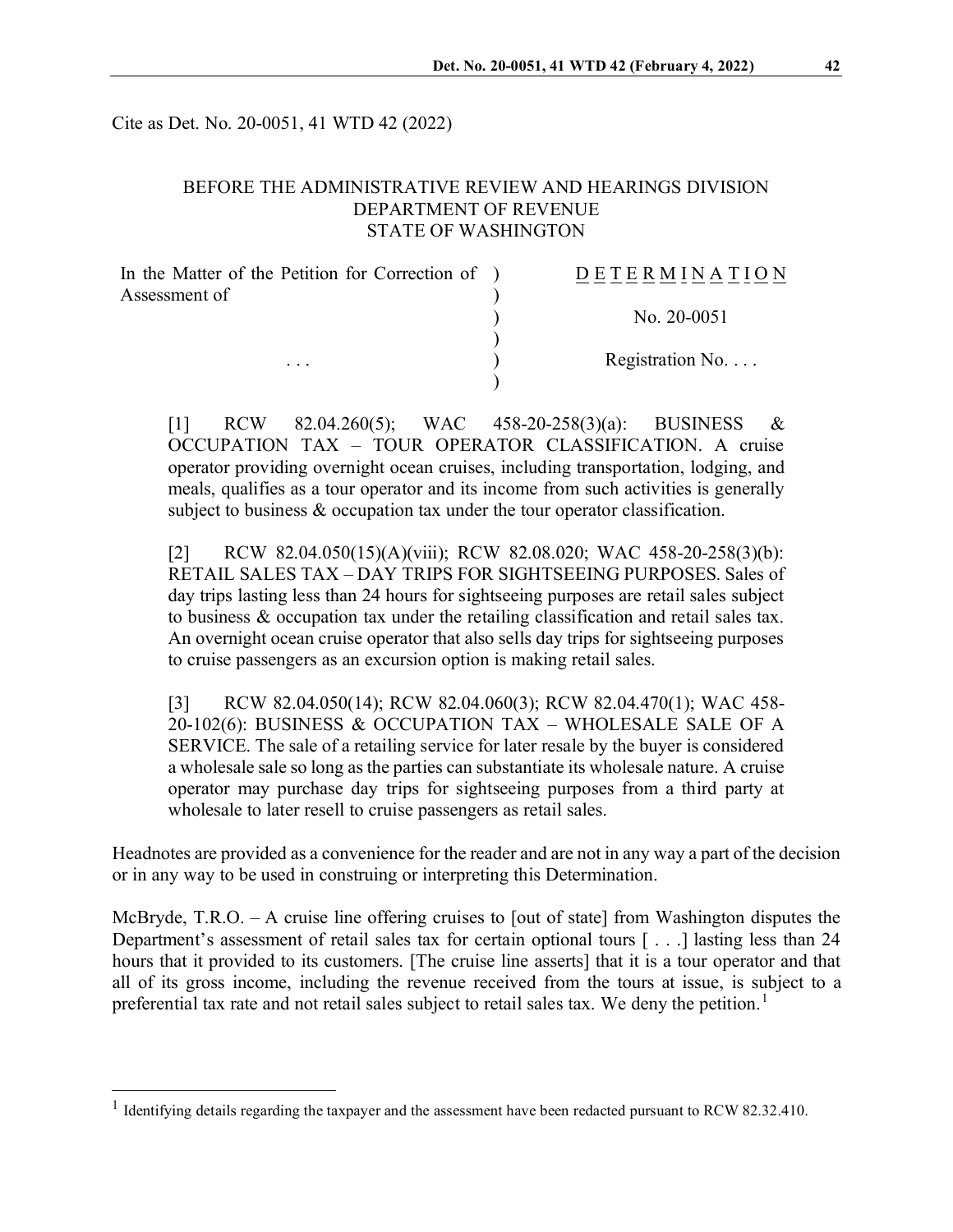Cite as Det. No. 20-0051, 41 WTD 42 (2022)

### BEFORE THE ADMINISTRATIVE REVIEW AND HEARINGS DIVISION DEPARTMENT OF REVENUE STATE OF WASHINGTON

| In the Matter of the Petition for Correction of ) | <b>DETERMINATION</b>     |
|---------------------------------------------------|--------------------------|
| Assessment of                                     |                          |
| $\cdots$                                          | No. 20-0051              |
|                                                   | Registration No. $\dots$ |
|                                                   |                          |

[1] RCW 82.04.260(5); WAC 458-20-258(3)(a): BUSINESS & OCCUPATION TAX – TOUR OPERATOR CLASSIFICATION. A cruise operator providing overnight ocean cruises, including transportation, lodging, and meals, qualifies as a tour operator and its income from such activities is generally subject to business & occupation tax under the tour operator classification.

[2] RCW 82.04.050(15)(A)(viii); RCW 82.08.020; WAC 458-20-258(3)(b): RETAIL SALES TAX – DAY TRIPS FOR SIGHTSEEING PURPOSES. Sales of day trips lasting less than 24 hours for sightseeing purposes are retail sales subject to business & occupation tax under the retailing classification and retail sales tax. An overnight ocean cruise operator that also sells day trips for sightseeing purposes to cruise passengers as an excursion option is making retail sales.

[3] RCW 82.04.050(14); RCW 82.04.060(3); RCW 82.04.470(1); WAC 458-20-102(6): BUSINESS & OCCUPATION TAX – WHOLESALE SALE OF A SERVICE. The sale of a retailing service for later resale by the buyer is considered a wholesale sale so long as the parties can substantiate its wholesale nature. A cruise operator may purchase day trips for sightseeing purposes from a third party at wholesale to later resell to cruise passengers as retail sales.

Headnotes are provided as a convenience for the reader and are not in any way a part of the decision or in any way to be used in construing or interpreting this Determination.

McBryde, T.R.O. – A cruise line offering cruises to [out of state] from Washington disputes the Department's assessment of retail sales tax for certain optional tours [ . . .] lasting less than 24 hours that it provided to its customers. [The cruise line asserts] that it is a tour operator and that all of its gross income, including the revenue received from the tours at issue, is subject to a preferential tax rate and not retail sales subject to retail sales tax. We deny the petition.<sup>[1](#page-0-0)</sup>

<span id="page-0-0"></span><sup>&</sup>lt;sup>1</sup> Identifying details regarding the taxpayer and the assessment have been redacted pursuant to RCW 82.32.410.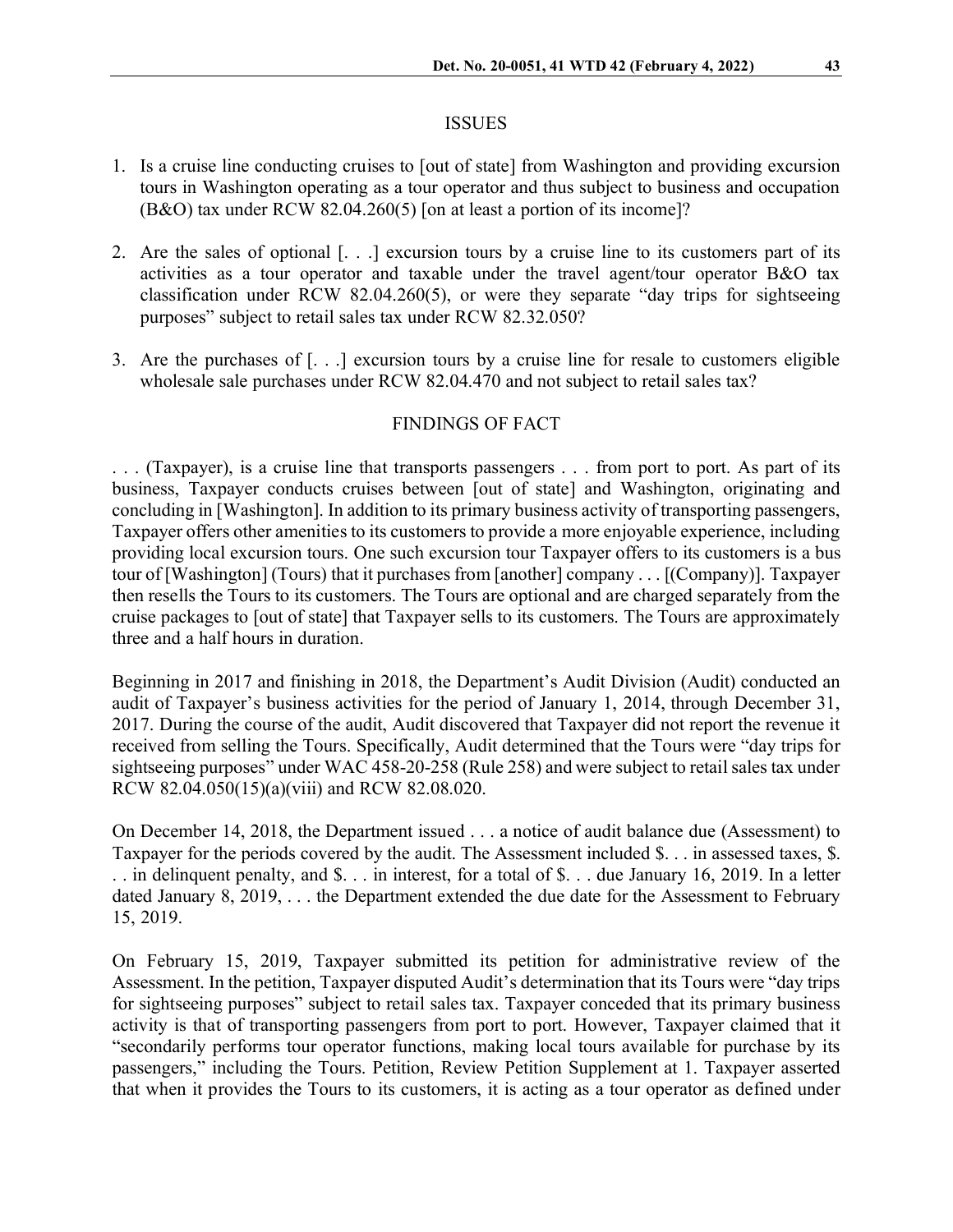#### ISSUES

- 1. Is a cruise line conducting cruises to [out of state] from Washington and providing excursion tours in Washington operating as a tour operator and thus subject to business and occupation (B&O) tax under RCW 82.04.260(5) [on at least a portion of its income]?
- 2. Are the sales of optional [. . .] excursion tours by a cruise line to its customers part of its activities as a tour operator and taxable under the travel agent/tour operator B&O tax classification under RCW 82.04.260(5), or were they separate "day trips for sightseeing purposes" subject to retail sales tax under RCW 82.32.050?
- 3. Are the purchases of [. . .] excursion tours by a cruise line for resale to customers eligible wholesale sale purchases under RCW 82.04.470 and not subject to retail sales tax?

### FINDINGS OF FACT

. . . (Taxpayer), is a cruise line that transports passengers . . . from port to port. As part of its business, Taxpayer conducts cruises between [out of state] and Washington, originating and concluding in [Washington]. In addition to its primary business activity of transporting passengers, Taxpayer offers other amenities to its customers to provide a more enjoyable experience, including providing local excursion tours. One such excursion tour Taxpayer offers to its customers is a bus tour of [Washington] (Tours) that it purchases from [another] company . . . [(Company)]. Taxpayer then resells the Tours to its customers. The Tours are optional and are charged separately from the cruise packages to [out of state] that Taxpayer sells to its customers. The Tours are approximately three and a half hours in duration.

Beginning in 2017 and finishing in 2018, the Department's Audit Division (Audit) conducted an audit of Taxpayer's business activities for the period of January 1, 2014, through December 31, 2017. During the course of the audit, Audit discovered that Taxpayer did not report the revenue it received from selling the Tours. Specifically, Audit determined that the Tours were "day trips for sightseeing purposes" under WAC 458-20-258 (Rule 258) and were subject to retail sales tax under RCW 82.04.050(15)(a)(viii) and RCW 82.08.020.

On December 14, 2018, the Department issued . . . a notice of audit balance due (Assessment) to Taxpayer for the periods covered by the audit. The Assessment included \$. . . in assessed taxes, \$. . . in delinquent penalty, and \$. . . in interest, for a total of \$. . . due January 16, 2019. In a letter dated January 8, 2019, . . . the Department extended the due date for the Assessment to February 15, 2019.

On February 15, 2019, Taxpayer submitted its petition for administrative review of the Assessment. In the petition, Taxpayer disputed Audit's determination that its Tours were "day trips for sightseeing purposes" subject to retail sales tax. Taxpayer conceded that its primary business activity is that of transporting passengers from port to port. However, Taxpayer claimed that it "secondarily performs tour operator functions, making local tours available for purchase by its passengers," including the Tours. Petition, Review Petition Supplement at 1. Taxpayer asserted that when it provides the Tours to its customers, it is acting as a tour operator as defined under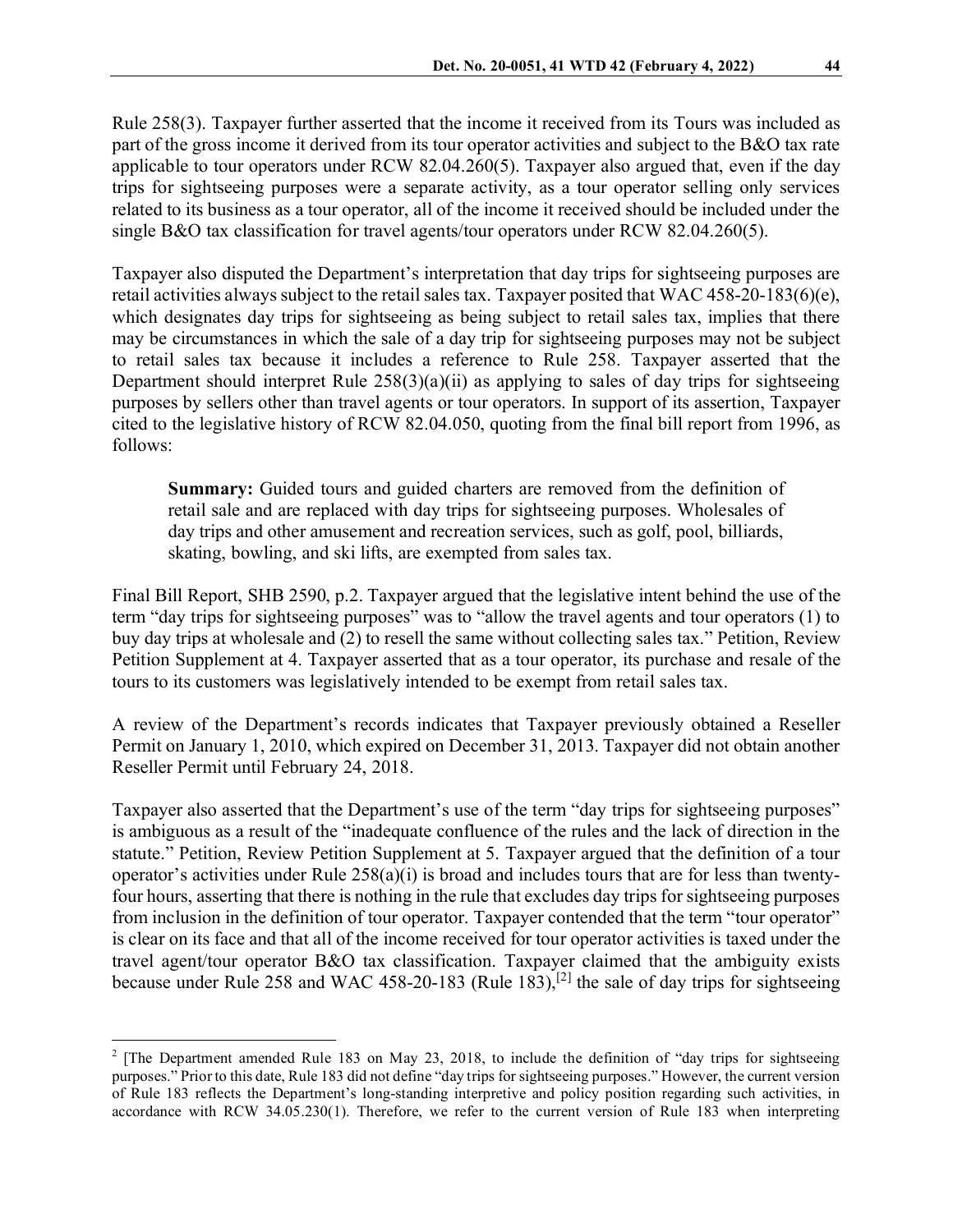Rule 258(3). Taxpayer further asserted that the income it received from its Tours was included as part of the gross income it derived from its tour operator activities and subject to the B&O tax rate applicable to tour operators under RCW 82.04.260(5). Taxpayer also argued that, even if the day trips for sightseeing purposes were a separate activity, as a tour operator selling only services related to its business as a tour operator, all of the income it received should be included under the single B&O tax classification for travel agents/tour operators under RCW 82.04.260(5).

Taxpayer also disputed the Department's interpretation that day trips for sightseeing purposes are retail activities always subject to the retail sales tax. Taxpayer posited that WAC 458-20-183(6)(e), which designates day trips for sightseeing as being subject to retail sales tax, implies that there may be circumstances in which the sale of a day trip for sightseeing purposes may not be subject to retail sales tax because it includes a reference to Rule 258. Taxpayer asserted that the Department should interpret Rule  $258(3)(a)(ii)$  as applying to sales of day trips for sightseeing purposes by sellers other than travel agents or tour operators. In support of its assertion, Taxpayer cited to the legislative history of RCW 82.04.050, quoting from the final bill report from 1996, as follows:

**Summary:** Guided tours and guided charters are removed from the definition of retail sale and are replaced with day trips for sightseeing purposes. Wholesales of day trips and other amusement and recreation services, such as golf, pool, billiards, skating, bowling, and ski lifts, are exempted from sales tax.

Final Bill Report, SHB 2590, p.2. Taxpayer argued that the legislative intent behind the use of the term "day trips for sightseeing purposes" was to "allow the travel agents and tour operators (1) to buy day trips at wholesale and (2) to resell the same without collecting sales tax." Petition, Review Petition Supplement at 4. Taxpayer asserted that as a tour operator, its purchase and resale of the tours to its customers was legislatively intended to be exempt from retail sales tax.

A review of the Department's records indicates that Taxpayer previously obtained a Reseller Permit on January 1, 2010, which expired on December 31, 2013. Taxpayer did not obtain another Reseller Permit until February 24, 2018.

Taxpayer also asserted that the Department's use of the term "day trips for sightseeing purposes" is ambiguous as a result of the "inadequate confluence of the rules and the lack of direction in the statute." Petition, Review Petition Supplement at 5. Taxpayer argued that the definition of a tour operator's activities under Rule  $258(a)(i)$  is broad and includes tours that are for less than twentyfour hours, asserting that there is nothing in the rule that excludes day trips for sightseeing purposes from inclusion in the definition of tour operator. Taxpayer contended that the term "tour operator" is clear on its face and that all of the income received for tour operator activities is taxed under the travel agent/tour operator B&O tax classification. Taxpayer claimed that the ambiguity exists because under Rule 258 and WAC 458-20-183 (Rule 183),<sup>[\[2](#page-2-0)]</sup> the sale of day trips for sightseeing

<span id="page-2-0"></span><sup>&</sup>lt;sup>2</sup> [The Department amended Rule 183 on May 23, 2018, to include the definition of "day trips for sightseeing purposes." Prior to this date, Rule 183 did not define "day trips for sightseeing purposes." However, the current version of Rule 183 reflects the Department's long-standing interpretive and policy position regarding such activities, in accordance with RCW 34.05.230(1). Therefore, we refer to the current version of Rule 183 when interpreting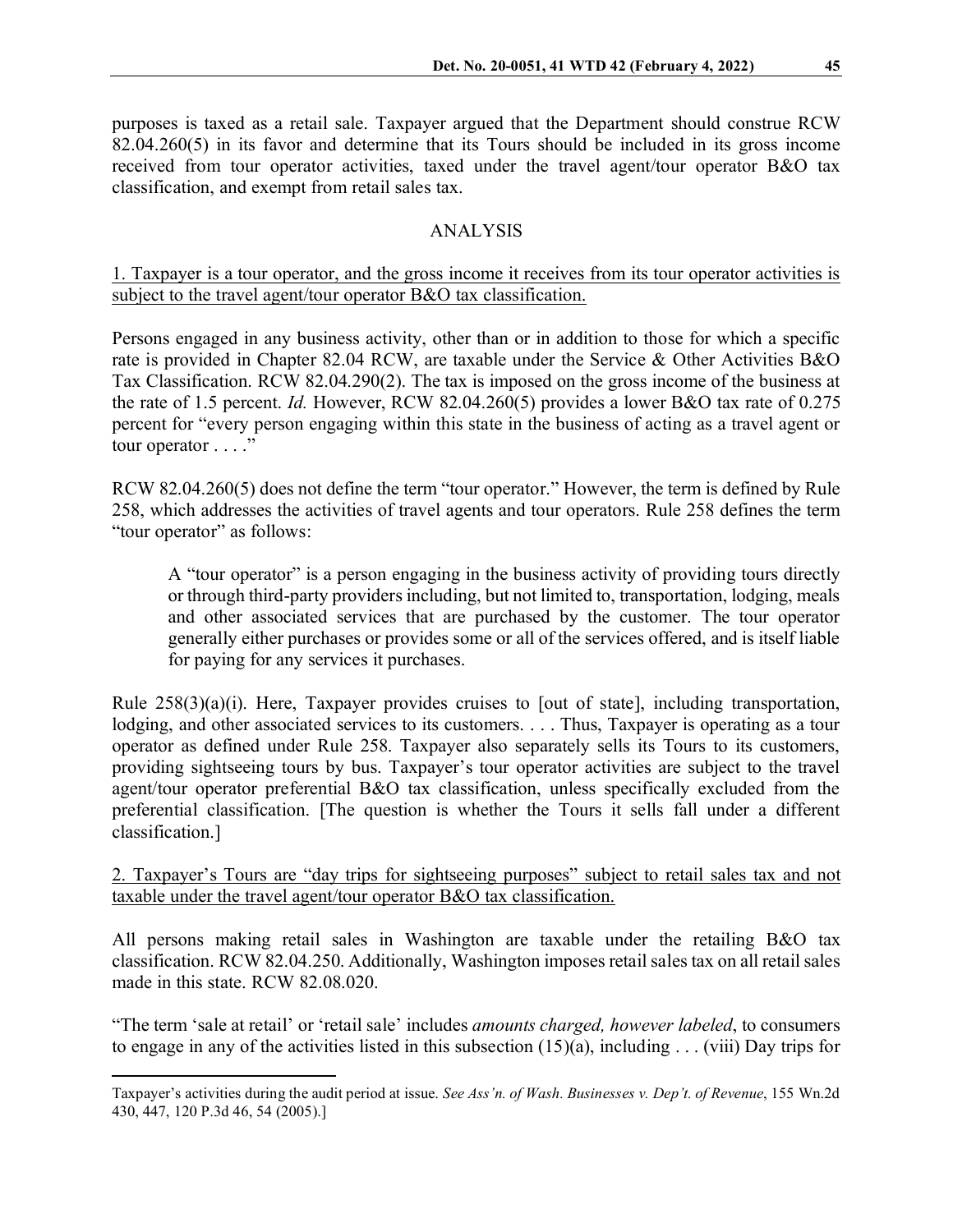purposes is taxed as a retail sale. Taxpayer argued that the Department should construe RCW 82.04.260(5) in its favor and determine that its Tours should be included in its gross income received from tour operator activities, taxed under the travel agent/tour operator B&O tax classification, and exempt from retail sales tax.

## ANALYSIS

## 1. Taxpayer is a tour operator, and the gross income it receives from its tour operator activities is subject to the travel agent/tour operator B&O tax classification.

Persons engaged in any business activity, other than or in addition to those for which a specific rate is provided in Chapter 82.04 RCW, are taxable under the Service & Other Activities B&O Tax Classification. RCW 82.04.290(2). The tax is imposed on the gross income of the business at the rate of 1.5 percent. *Id.* However, RCW 82.04.260(5) provides a lower B&O tax rate of 0.275 percent for "every person engaging within this state in the business of acting as a travel agent or tour operator . . . ."

RCW 82.04.260(5) does not define the term "tour operator." However, the term is defined by Rule 258, which addresses the activities of travel agents and tour operators. Rule 258 defines the term "tour operator" as follows:

A "tour operator" is a person engaging in the business activity of providing tours directly or through third-party providers including, but not limited to, transportation, lodging, meals and other associated services that are purchased by the customer. The tour operator generally either purchases or provides some or all of the services offered, and is itself liable for paying for any services it purchases.

Rule  $258(3)(a)(i)$ . Here, Taxpayer provides cruises to [out of state], including transportation, lodging, and other associated services to its customers. . . . Thus, Taxpayer is operating as a tour operator as defined under Rule 258. Taxpayer also separately sells its Tours to its customers, providing sightseeing tours by bus. Taxpayer's tour operator activities are subject to the travel agent/tour operator preferential B&O tax classification, unless specifically excluded from the preferential classification. [The question is whether the Tours it sells fall under a different classification.]

2. Taxpayer's Tours are "day trips for sightseeing purposes" subject to retail sales tax and not taxable under the travel agent/tour operator B&O tax classification.

All persons making retail sales in Washington are taxable under the retailing B&O tax classification. RCW 82.04.250. Additionally, Washington imposes retail sales tax on all retail sales made in this state. RCW 82.08.020.

"The term 'sale at retail' or 'retail sale' includes *amounts charged, however labeled*, to consumers to engage in any of the activities listed in this subsection  $(15)(a)$ , including ... (viii) Day trips for

Taxpayer's activities during the audit period at issue. *See Ass'n. of Wash. Businesses v. Dep't. of Revenue*, 155 Wn.2d 430, 447, 120 P.3d 46, 54 (2005).]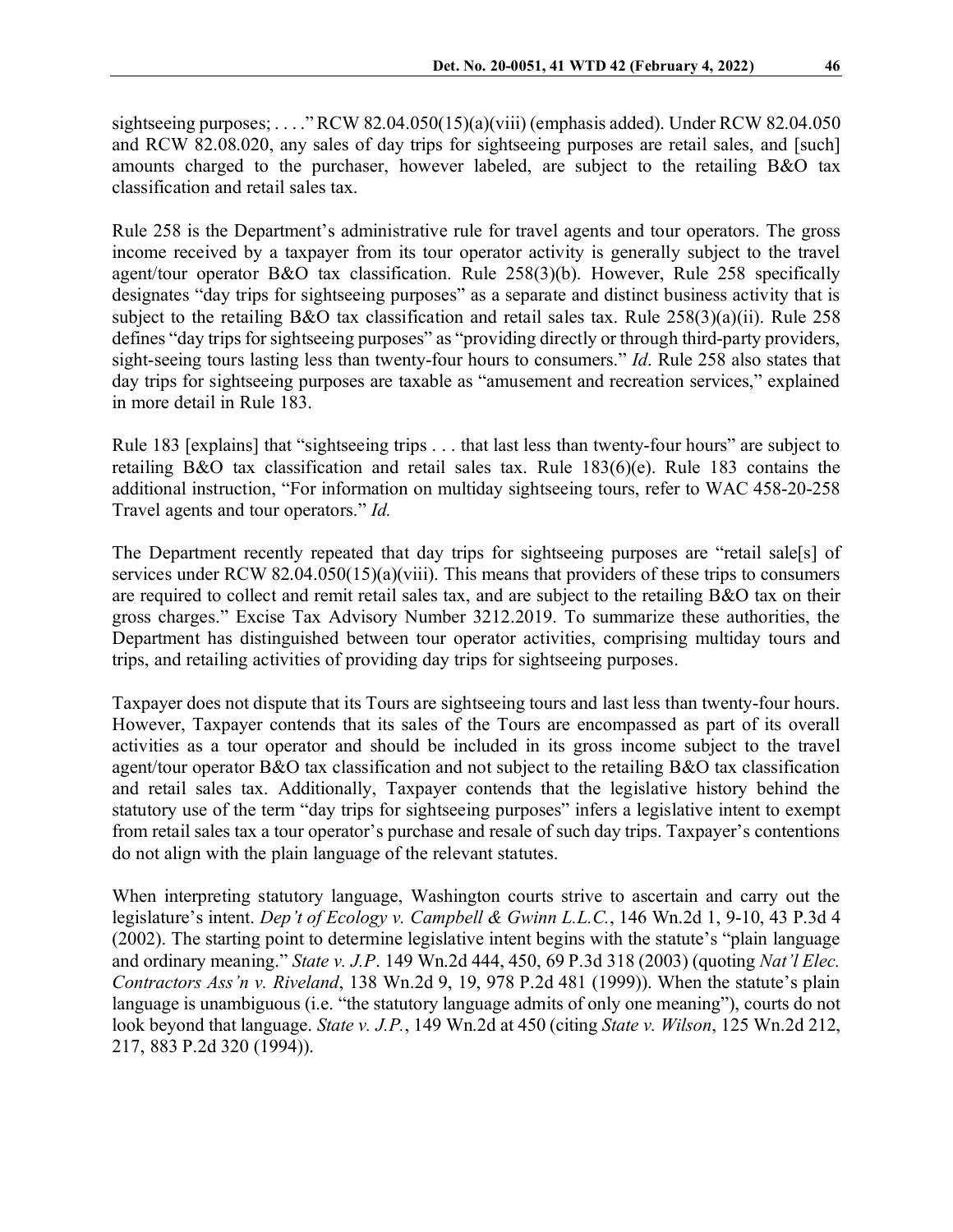sightseeing purposes; . . . . "RCW 82.04.050(15)(a)(viii) (emphasis added). Under RCW 82.04.050 and RCW 82.08.020, any sales of day trips for sightseeing purposes are retail sales, and [such] amounts charged to the purchaser, however labeled, are subject to the retailing B&O tax classification and retail sales tax.

Rule 258 is the Department's administrative rule for travel agents and tour operators. The gross income received by a taxpayer from its tour operator activity is generally subject to the travel agent/tour operator B&O tax classification. Rule 258(3)(b). However, Rule 258 specifically designates "day trips for sightseeing purposes" as a separate and distinct business activity that is subject to the retailing B&O tax classification and retail sales tax. Rule 258(3)(a)(ii). Rule 258 defines "day trips for sightseeing purposes" as "providing directly or through third-party providers, sight-seeing tours lasting less than twenty-four hours to consumers." *Id*. Rule 258 also states that day trips for sightseeing purposes are taxable as "amusement and recreation services," explained in more detail in Rule 183.

Rule 183 [explains] that "sightseeing trips . . . that last less than twenty-four hours" are subject to retailing B&O tax classification and retail sales tax. Rule 183(6)(e). Rule 183 contains the additional instruction, "For information on multiday sightseeing tours, refer to WAC 458-20-258 Travel agents and tour operators." *Id.*

The Department recently repeated that day trips for sightseeing purposes are "retail sale[s] of services under RCW 82.04.050(15)(a)(viii). This means that providers of these trips to consumers are required to collect and remit retail sales tax, and are subject to the retailing B&O tax on their gross charges." Excise Tax Advisory Number 3212.2019. To summarize these authorities, the Department has distinguished between tour operator activities, comprising multiday tours and trips, and retailing activities of providing day trips for sightseeing purposes.

Taxpayer does not dispute that its Tours are sightseeing tours and last less than twenty-four hours. However, Taxpayer contends that its sales of the Tours are encompassed as part of its overall activities as a tour operator and should be included in its gross income subject to the travel agent/tour operator B&O tax classification and not subject to the retailing B&O tax classification and retail sales tax. Additionally, Taxpayer contends that the legislative history behind the statutory use of the term "day trips for sightseeing purposes" infers a legislative intent to exempt from retail sales tax a tour operator's purchase and resale of such day trips. Taxpayer's contentions do not align with the plain language of the relevant statutes.

When interpreting statutory language, Washington courts strive to ascertain and carry out the legislature's intent. *Dep't of Ecology v. Campbell & Gwinn L.L.C.*, 146 Wn.2d 1, 9-10, 43 P.3d 4 (2002). The starting point to determine legislative intent begins with the statute's "plain language and ordinary meaning." *State v. J.P*. 149 Wn.2d 444, 450, 69 P.3d 318 (2003) (quoting *Nat'l Elec. Contractors Ass'n v. Riveland*, 138 Wn.2d 9, 19, 978 P.2d 481 (1999)). When the statute's plain language is unambiguous (i.e. "the statutory language admits of only one meaning"), courts do not look beyond that language. *State v. J.P.*, 149 Wn.2d at 450 (citing *State v. Wilson*, 125 Wn.2d 212, 217, 883 P.2d 320 (1994)).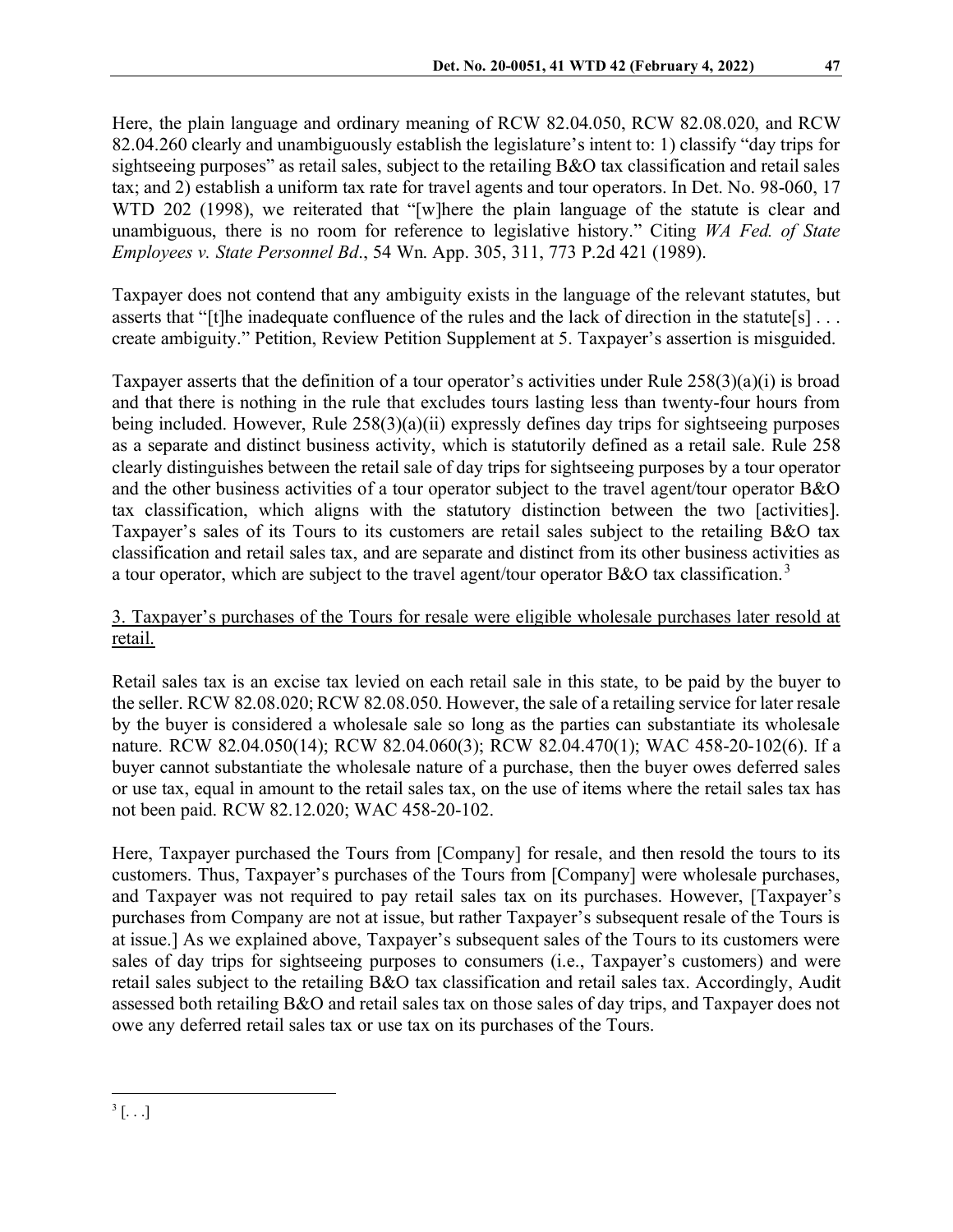Here, the plain language and ordinary meaning of RCW 82.04.050, RCW 82.08.020, and RCW 82.04.260 clearly and unambiguously establish the legislature's intent to: 1) classify "day trips for sightseeing purposes" as retail sales, subject to the retailing B&O tax classification and retail sales tax; and 2) establish a uniform tax rate for travel agents and tour operators. In Det. No. 98-060, 17 WTD 202 (1998), we reiterated that "[w]here the plain language of the statute is clear and unambiguous, there is no room for reference to legislative history." Citing *WA Fed. of State Employees v. State Personnel Bd*., 54 Wn. App. 305, 311, 773 P.2d 421 (1989).

Taxpayer does not contend that any ambiguity exists in the language of the relevant statutes, but asserts that "[t]he inadequate confluence of the rules and the lack of direction in the statute[s]... create ambiguity." Petition, Review Petition Supplement at 5. Taxpayer's assertion is misguided.

Taxpayer asserts that the definition of a tour operator's activities under Rule  $258(3)(a)(i)$  is broad and that there is nothing in the rule that excludes tours lasting less than twenty-four hours from being included. However, Rule 258(3)(a)(ii) expressly defines day trips for sightseeing purposes as a separate and distinct business activity, which is statutorily defined as a retail sale. Rule 258 clearly distinguishes between the retail sale of day trips for sightseeing purposes by a tour operator and the other business activities of a tour operator subject to the travel agent/tour operator B&O tax classification, which aligns with the statutory distinction between the two [activities]. Taxpayer's sales of its Tours to its customers are retail sales subject to the retailing B&O tax classification and retail sales tax, and are separate and distinct from its other business activities as a tour operator, which are subject to the travel agent/tour operator B&O tax classification.<sup>[3](#page-5-0)</sup>

# 3. Taxpayer's purchases of the Tours for resale were eligible wholesale purchases later resold at retail.

Retail sales tax is an excise tax levied on each retail sale in this state, to be paid by the buyer to the seller. RCW 82.08.020; RCW 82.08.050. However, the sale of a retailing service for later resale by the buyer is considered a wholesale sale so long as the parties can substantiate its wholesale nature. RCW 82.04.050(14); RCW 82.04.060(3); RCW 82.04.470(1); WAC 458-20-102(6). If a buyer cannot substantiate the wholesale nature of a purchase, then the buyer owes deferred sales or use tax, equal in amount to the retail sales tax, on the use of items where the retail sales tax has not been paid. RCW 82.12.020; WAC 458-20-102.

<span id="page-5-0"></span>Here, Taxpayer purchased the Tours from [Company] for resale, and then resold the tours to its customers. Thus, Taxpayer's purchases of the Tours from [Company] were wholesale purchases, and Taxpayer was not required to pay retail sales tax on its purchases. However, [Taxpayer's purchases from Company are not at issue, but rather Taxpayer's subsequent resale of the Tours is at issue.] As we explained above, Taxpayer's subsequent sales of the Tours to its customers were sales of day trips for sightseeing purposes to consumers (i.e., Taxpayer's customers) and were retail sales subject to the retailing B&O tax classification and retail sales tax. Accordingly, Audit assessed both retailing B&O and retail sales tax on those sales of day trips, and Taxpayer does not owe any deferred retail sales tax or use tax on its purchases of the Tours.